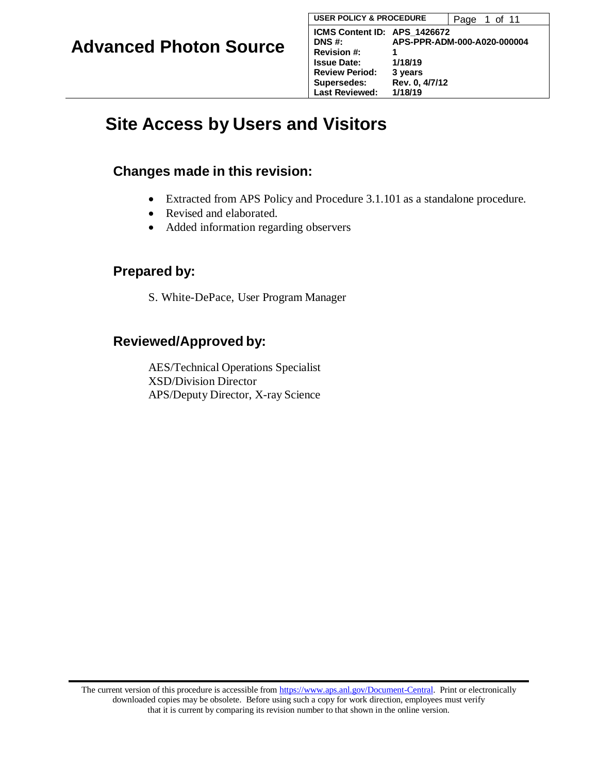# **Site Access by Users and Visitors**

### **Changes made in this revision:**

- Extracted from APS Policy and Procedure 3.1.101 as a standalone procedure.
- Revised and elaborated.
- Added information regarding observers

### **Prepared by:**

S. White-DePace, User Program Manager

## **Reviewed/Approved by:**

AES/Technical Operations Specialist XSD/Division Director APS/Deputy Director, X-ray Science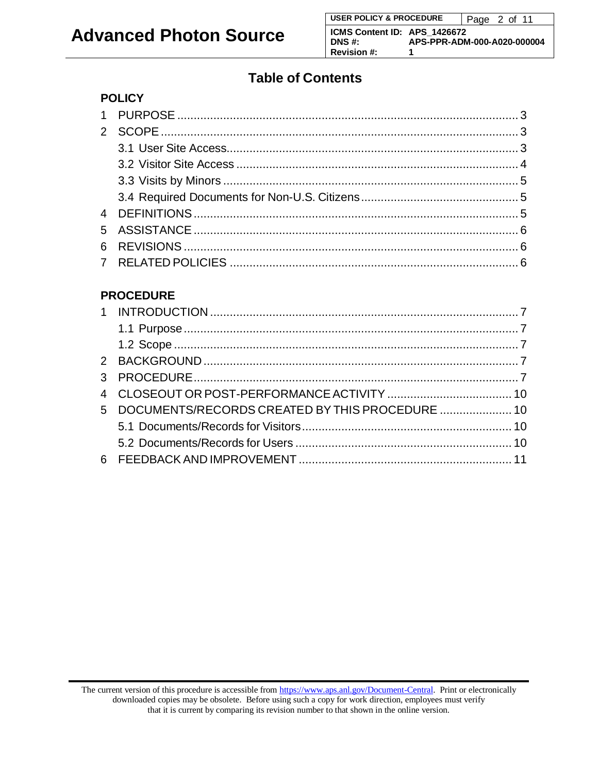## **Table of Contents**

### **POLICY**

### **PROCEDURE**

| 5 DOCUMENTS/RECORDS CREATED BY THIS PROCEDURE  10 |  |
|---------------------------------------------------|--|
|                                                   |  |
|                                                   |  |
|                                                   |  |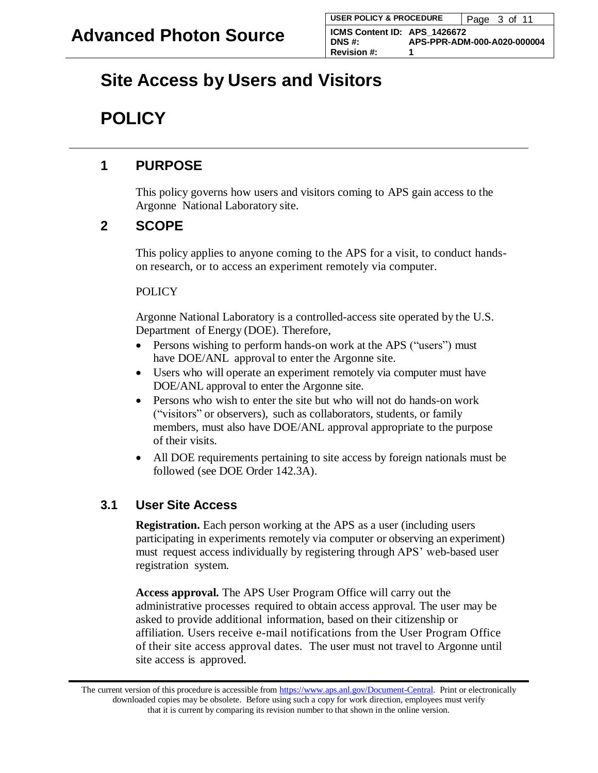## <span id="page-2-0"></span>**Site Access by Users and Visitors**

## **POLICY**

## **1 PURPOSE**

This policy governs how users and visitors coming to APS gain access to the Argonne National Laboratory site.

## **2 SCOPE**

This policy applies to anyone coming to the APS for a visit, to conduct handson research, or to access an experiment remotely via computer.

#### **POLICY**

Argonne National Laboratory is a controlled-access site operated by the U.S. Department of Energy (DOE). Therefore,

- Persons wishing to perform hands-on work at the APS ("users") must have DOE/ANL approval to enter the Argonne site.
- Users who will operate an experiment remotely via computer must have DOE/ANL approval to enter the Argonne site.
- Persons who wish to enter the site but who will not do hands-on work ("visitors" or observers), such as collaborators, students, or family members, must also have DOE/ANL approval appropriate to the purpose of their visits.
- All DOE requirements pertaining to site access by foreign nationals must be followed (see DOE Order 142.3A).

### **3.1 User Site Access**

**Registration.** Each person working at the APS as a user (including users participating in experiments remotely via computer or observing an experiment) must request access individually by registering through APS' web-based user registration system.

**Access approval.** The APS User Program Office will carry out the administrative processes required to obtain access approval. The user may be asked to provide additional information, based on their citizenship or affiliation. Users receive e-mail notifications from the User Program Office of their site access approval dates. The user must not travel to Argonne until site access is approved.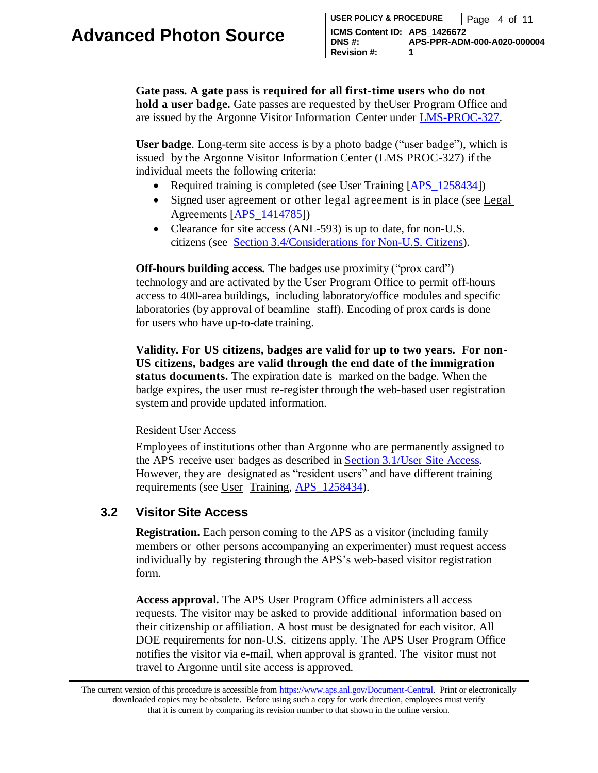**Gate pass. A gate pass is required for all first-time users who do not hold a user badge.** Gate passes are requested by theUser Program Office and are issued by the Argonne Visitor Information Center under [LMS-PROC-327.](https://docs.anl.gov/main/groups/intranet/@shared/@lms/documents/procedure/lms-proc-327.pdf)

**User badge**. Long-term site access is by a photo badge ("user badge"), which is issued by the Argonne Visitor Information Center (LMS PROC-327) if the individual meets the following criteria:

- Required training is completed (see User Training [APS 1258434])
- Signed user agreement or other legal agreement is in place (see Legal Agreements [\[APS\\_1414785\]](https://www.aps.anl.gov/files/APS-sync/centraldocs/policy_procedures/user/docs/APS_1414785.pdf))
- Clearance for site access (ANL-593) is up to date, for non-U.S. citizens (see Section [3.4/Considerations](#page-4-0) for Non-U.S. Citizens).

**Off-hours building access.** The badges use proximity ("prox card") technology and are activated by the User Program Office to permit off-hours access to 400-area buildings, including laboratory/office modules and specific laboratories (by approval of beamline staff). Encoding of prox cards is done for users who have up-to-date training.

**Validity. For US citizens, badges are valid for up to two years. For non-US citizens, badges are valid through the end date of the immigration status documents.** The expiration date is marked on the badge. When the badge expires, the user must re-register through the web-based user registration system and provide updated information.

#### Resident User Access

Employees of institutions other than Argonne who are permanently assigned to the APS receive user badges as described in Section [3.1/User](#page-2-0) Site Access. However, they are designated as "resident users" and have different training requirements (see User Training, [APS\\_1258434\)](https://www.aps.anl.gov/files/APS-sync/centraldocs/policy_procedures/user/docs/APS_1258434.pdf).

#### **3.2 Visitor Site Access**

**Registration.** Each person coming to the APS as a visitor (including family members or other persons accompanying an experimenter) must request access individually by registering through the APS's web-based visitor registration form.

**Access approval.** The APS User Program Office administers all access requests. The visitor may be asked to provide additional information based on their citizenship or affiliation. A host must be designated for each visitor. All DOE requirements for non-U.S. citizens apply. The APS User Program Office notifies the visitor via e-mail, when approval is granted. The visitor must not travel to Argonne until site access is approved.

The current version of this procedure is accessible from [https://www.aps.anl.gov/Document-Central.](https://www.aps.anl.gov/Document-Central) Print or electronically downloaded copies may be obsolete. Before using such a copy for work direction, employees must verify that it is current by comparing its revision number to that shown in the online version.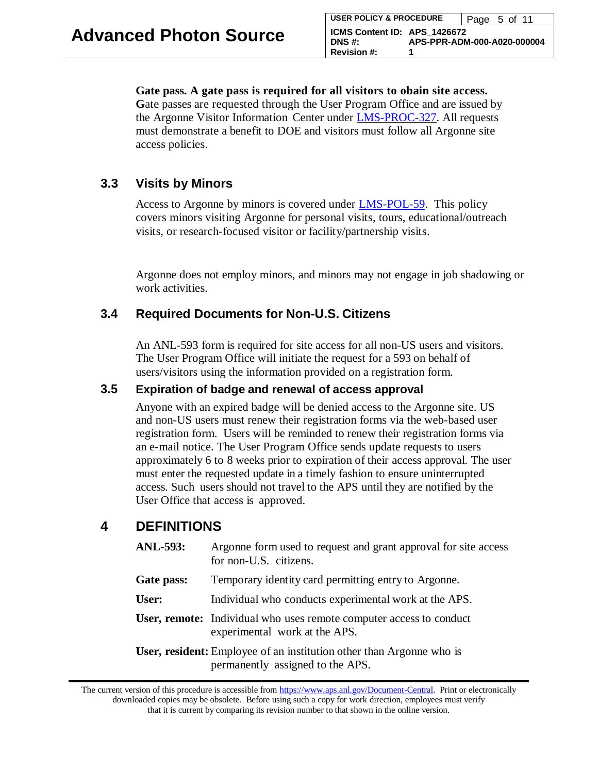#### **Gate pass. A gate pass is required for all visitors to obain site access.**

**G**ate passes are requested through the User Program Office and are issued by the Argonne Visitor Information Center under [LMS-PROC-327.](https://docs.anl.gov/main/groups/intranet/@shared/@lms/documents/procedure/lms-proc-327.pdf) All requests must demonstrate a benefit to DOE and visitors must follow all Argonne site access policies.

#### <span id="page-4-0"></span>**3.3 Visits by Minors**

Access to Argonne by minors is covered under **LMS-POL-59**. This policy covers minors visiting Argonne for personal visits, tours, educational/outreach visits, or research-focused visitor or facility/partnership visits.

Argonne does not employ minors, and minors may not engage in job shadowing or work activities.

#### **3.4 Required Documents for Non-U.S. Citizens**

An ANL-593 form is required for site access for all non-US users and visitors. The User Program Office will initiate the request for a 593 on behalf of users/visitors using the information provided on a registration form.

#### **3.5 Expiration of badge and renewal of access approval**

Anyone with an expired badge will be denied access to the Argonne site. US and non-US users must renew their registration forms via the web-based user registration form. Users will be reminded to renew their registration forms via an e-mail notice. The User Program Office sends update requests to users approximately 6 to 8 weeks prior to expiration of their access approval. The user must enter the requested update in a timely fashion to ensure uninterrupted access. Such users should not travel to the APS until they are notified by the User Office that access is approved.

#### **4 DEFINITIONS**

| <b>ANL-593:</b> | Argonne form used to request and grant approval for site access<br>for non-U.S. citizens.                       |
|-----------------|-----------------------------------------------------------------------------------------------------------------|
| Gate pass:      | Temporary identity card permitting entry to Argonne.                                                            |
| User:           | Individual who conducts experimental work at the APS.                                                           |
|                 | User, remote: Individual who uses remote computer access to conduct<br>experimental work at the APS.            |
|                 | <b>User, resident:</b> Employee of an institution other than Argonne who is<br>permanently assigned to the APS. |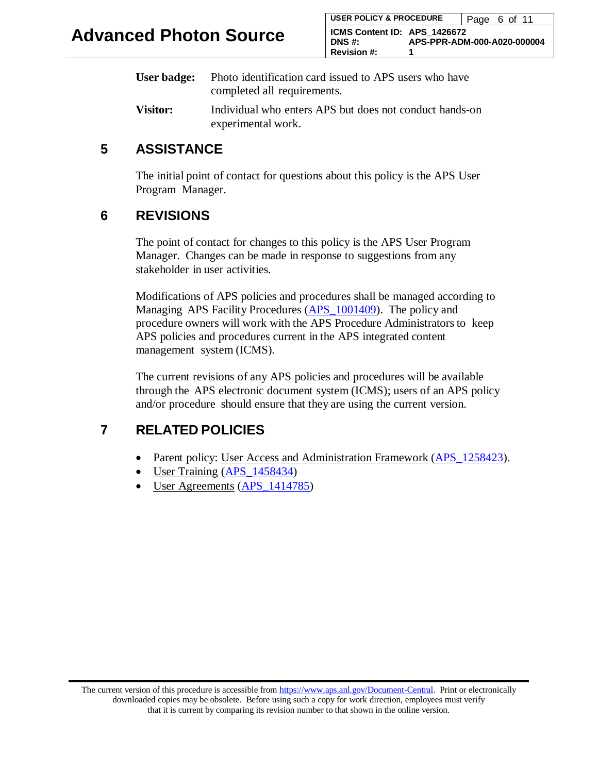| User badge:     | Photo identification card issued to APS users who have  |
|-----------------|---------------------------------------------------------|
|                 | completed all requirements.                             |
| <b>Visitor:</b> | Individual who enters APS but does not conduct hands-on |

experimental work.

## **5 ASSISTANCE**

The initial point of contact for questions about this policy is the APS User Program Manager.

## **6 REVISIONS**

The point of contact for changes to this policy is the APS User Program Manager. Changes can be made in response to suggestions from any stakeholder in user activities.

Modifications of APS policies and procedures shall be managed according to Managing APS Facility Procedures (APS 1001409). The policy and procedure owners will work with the APS Procedure Administratorsto keep APS policies and procedures current in the APS integrated content management system (ICMS).

The current revisions of any APS policies and procedures will be available through the APS electronic document system (ICMS); users of an APS policy and/or procedure should ensure that they are using the current version.

## **7 RELATED POLICIES**

- Parent policy: User Access and Administration Framework (APS 1258423).
- User Training (APS 1458434)
- User Agreements (APS 1414785)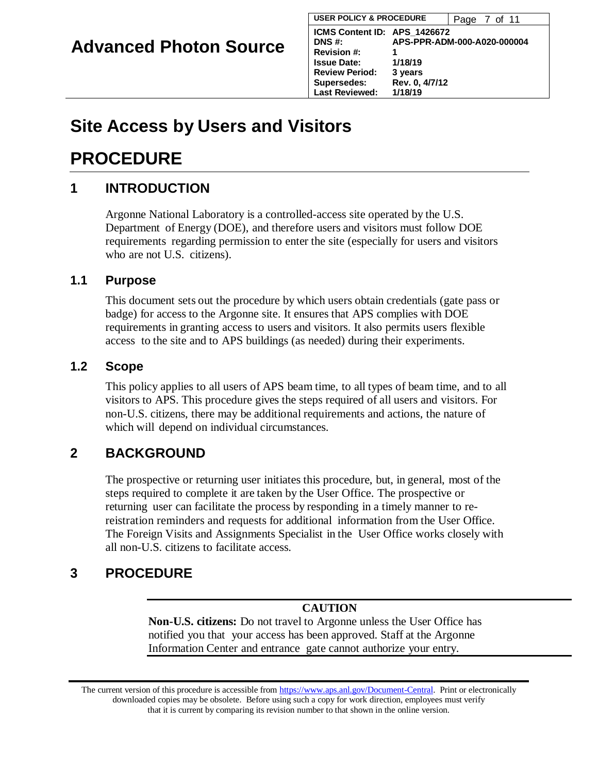# **Site Access by Users and Visitors**

## **PROCEDURE**

## **1 INTRODUCTION**

Argonne National Laboratory is a controlled-access site operated by the U.S. Department of Energy (DOE), and therefore users and visitors must follow DOE requirements regarding permission to enter the site (especially for users and visitors who are not U.S. citizens).

#### **1.1 Purpose**

This document sets out the procedure by which users obtain credentials (gate pass or badge) for access to the Argonne site. It ensures that APS complies with DOE requirements in granting access to users and visitors. It also permits users flexible access to the site and to APS buildings (as needed) during their experiments.

#### **1.2 Scope**

This policy applies to all users of APS beam time, to all types of beam time, and to all visitors to APS. This procedure gives the steps required of all users and visitors. For non-U.S. citizens, there may be additional requirements and actions, the nature of which will depend on individual circumstances.

## **2 BACKGROUND**

The prospective or returning user initiates this procedure, but, in general, most of the steps required to complete it are taken by the User Office. The prospective or returning user can facilitate the process by responding in a timely manner to rereistration reminders and requests for additional information from the User Office. The Foreign Visits and Assignments Specialist in the User Office works closely with all non-U.S. citizens to facilitate access.

## **3 PROCEDURE**

#### **CAUTION**

**Non-U.S. citizens:** Do not travel to Argonne unless the User Office has notified you that your access has been approved. Staff at the Argonne Information Center and entrance gate cannot authorize your entry.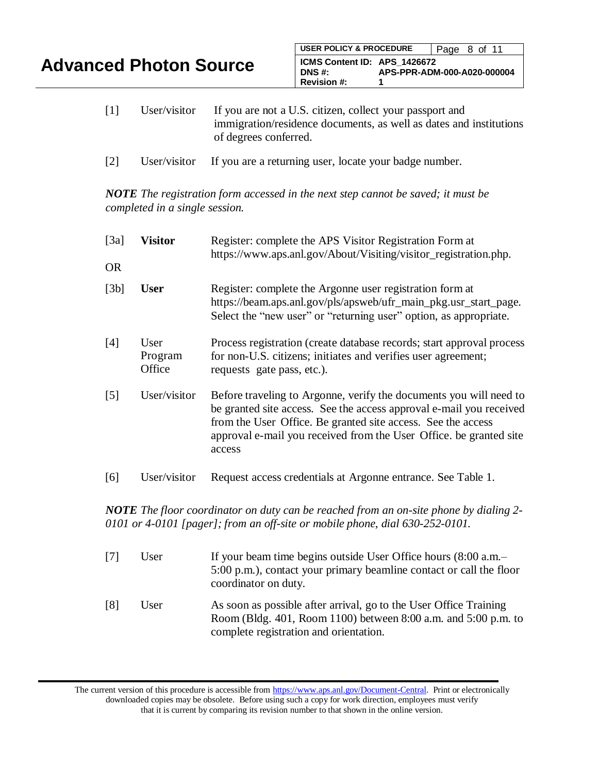| <b>Advanced Photon Source</b> |  |  |
|-------------------------------|--|--|
|-------------------------------|--|--|

- [1] User/visitor If you are not a U.S. citizen, collect your passport and immigration/residence documents, as well as dates and institutions of degrees conferred.
- [2] User/visitor If you are a returning user, locate your badge number.

*NOTE The registration form accessed in the next step cannot be saved; it must be completed in a single session.*

| [3a]                                                                                                                 | <b>Visitor</b>            | Register: complete the APS Visitor Registration Form at<br>https://www.aps.anl.gov/About/Visiting/visitor_registration.php.                                                                                                                                                                                                        |  |
|----------------------------------------------------------------------------------------------------------------------|---------------------------|------------------------------------------------------------------------------------------------------------------------------------------------------------------------------------------------------------------------------------------------------------------------------------------------------------------------------------|--|
| <b>OR</b>                                                                                                            |                           |                                                                                                                                                                                                                                                                                                                                    |  |
| [3b]                                                                                                                 | <b>User</b>               | Register: complete the Argonne user registration form at<br>https://beam.aps.anl.gov/pls/apsweb/ufr_main_pkg.usr_start_page.<br>Select the "new user" or "returning user" option, as appropriate.                                                                                                                                  |  |
| [4]                                                                                                                  | User<br>Program<br>Office | Process registration (create database records; start approval process<br>for non-U.S. citizens; initiates and verifies user agreement;<br>requests gate pass, etc.).                                                                                                                                                               |  |
| $\lceil 5 \rceil$                                                                                                    | User/visitor              | Before traveling to Argonne, verify the documents you will need to<br>be granted site access. See the access approval e-mail you received<br>from the User Office. Be granted site access. See the access<br>approval e-mail you received from the User Office. be granted site<br>access                                          |  |
| [6]                                                                                                                  | User/visitor              | Request access credentials at Argonne entrance. See Table 1.                                                                                                                                                                                                                                                                       |  |
| $\mathbf{1}$ $\mathbf{1}$ $\mathbf{1}$ $\mathbf{1}$ $\mathbf{1}$ $\mathbf{1}$ $\mathbf{1}$ $\mathbf{1}$ $\mathbf{1}$ |                           | $\mathbf{1}$ $\mathbf{1}$ $\mathbf{1}$ $\mathbf{1}$ $\mathbf{1}$ $\mathbf{1}$ $\mathbf{1}$ $\mathbf{1}$ $\mathbf{1}$ $\mathbf{1}$ $\mathbf{1}$ $\mathbf{1}$ $\mathbf{1}$ $\mathbf{1}$ $\mathbf{1}$ $\mathbf{1}$ $\mathbf{1}$ $\mathbf{1}$ $\mathbf{1}$ $\mathbf{1}$ $\mathbf{1}$ $\mathbf{1}$ $\mathbf{1}$ $\mathbf{1}$ $\mathbf{$ |  |

*NOTE The floor coordinator on duty can be reached from an on-site phone by dialing 2- 0101 or 4-0101 [pager]; from an off-site or mobile phone, dial 630-252-0101.*

| $\lceil 7 \rceil$ | User | If your beam time begins outside User Office hours (8:00 a.m.-<br>5:00 p.m.), contact your primary beamline contact or call the floor<br>coordinator on duty.                 |
|-------------------|------|-------------------------------------------------------------------------------------------------------------------------------------------------------------------------------|
| [8]               | User | As soon as possible after arrival, go to the User Office Training<br>Room (Bldg. 401, Room 1100) between 8:00 a.m. and 5:00 p.m. to<br>complete registration and orientation. |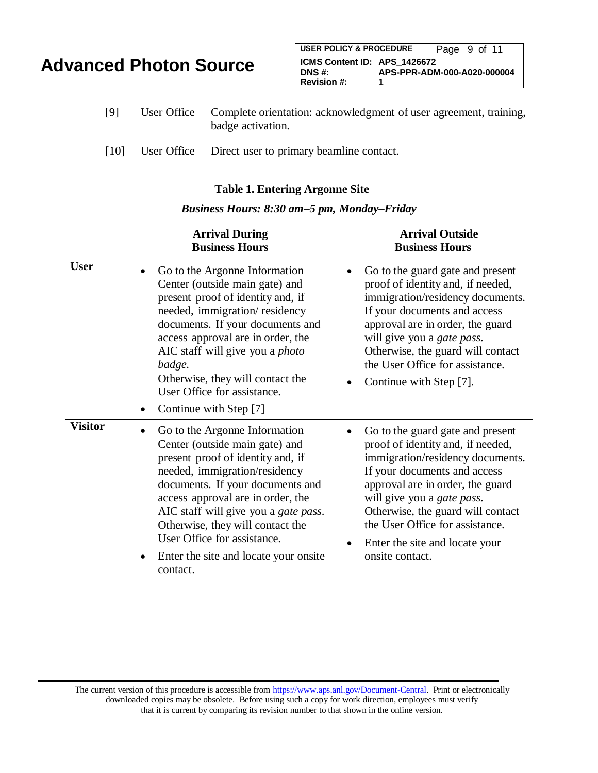| <b>Advanced Photon Source</b> |             |  | <b>USER POLICY &amp; PROCEDURE</b>                           | Page 9 of 11                                                      |
|-------------------------------|-------------|--|--------------------------------------------------------------|-------------------------------------------------------------------|
|                               |             |  | ICMS Content ID: APS 1426672<br>DNS #:<br><b>Revision #:</b> | APS-PPR-ADM-000-A020-000004                                       |
| [Q]                           | User Office |  |                                                              | Complete orientation: acknowledgment of user agreement, training. |

| [9] | User Office Complete orientation: acknowledgment of user agreement, training, |
|-----|-------------------------------------------------------------------------------|
|     | badge activation.                                                             |

[10] User Office Direct user to primary beamline contact.

#### **Table 1. Entering Argonne Site**

#### *Business Hours: 8:30 am–5 pm, Monday–Friday*

|                | <b>Arrival During</b><br><b>Business Hours</b>                                                                                                                                                                                                                                                                                                                                                                   | <b>Arrival Outside</b><br><b>Business Hours</b>                                                                                                                                                                                                                                                                                                               |
|----------------|------------------------------------------------------------------------------------------------------------------------------------------------------------------------------------------------------------------------------------------------------------------------------------------------------------------------------------------------------------------------------------------------------------------|---------------------------------------------------------------------------------------------------------------------------------------------------------------------------------------------------------------------------------------------------------------------------------------------------------------------------------------------------------------|
| <b>User</b>    | Go to the Argonne Information<br>$\bullet$<br>Center (outside main gate) and<br>present proof of identity and, if<br>needed, immigration/residency<br>documents. If your documents and<br>access approval are in order, the<br>AIC staff will give you a <i>photo</i><br>badge.<br>Otherwise, they will contact the<br>User Office for assistance.<br>Continue with Step [7]<br>$\bullet$                        | Go to the guard gate and present<br>proof of identity and, if needed,<br>immigration/residency documents.<br>If your documents and access<br>approval are in order, the guard<br>will give you a <i>gate pass</i> .<br>Otherwise, the guard will contact<br>the User Office for assistance.<br>Continue with Step [7].                                        |
| <b>Visitor</b> | Go to the Argonne Information<br>$\bullet$<br>Center (outside main gate) and<br>present proof of identity and, if<br>needed, immigration/residency<br>documents. If your documents and<br>access approval are in order, the<br>AIC staff will give you a <i>gate pass</i> .<br>Otherwise, they will contact the<br>User Office for assistance.<br>Enter the site and locate your onsite<br>$\bullet$<br>contact. | Go to the guard gate and present<br>proof of identity and, if needed,<br>immigration/residency documents.<br>If your documents and access<br>approval are in order, the guard<br>will give you a <i>gate pass</i> .<br>Otherwise, the guard will contact<br>the User Office for assistance.<br>Enter the site and locate your<br>$\bullet$<br>onsite contact. |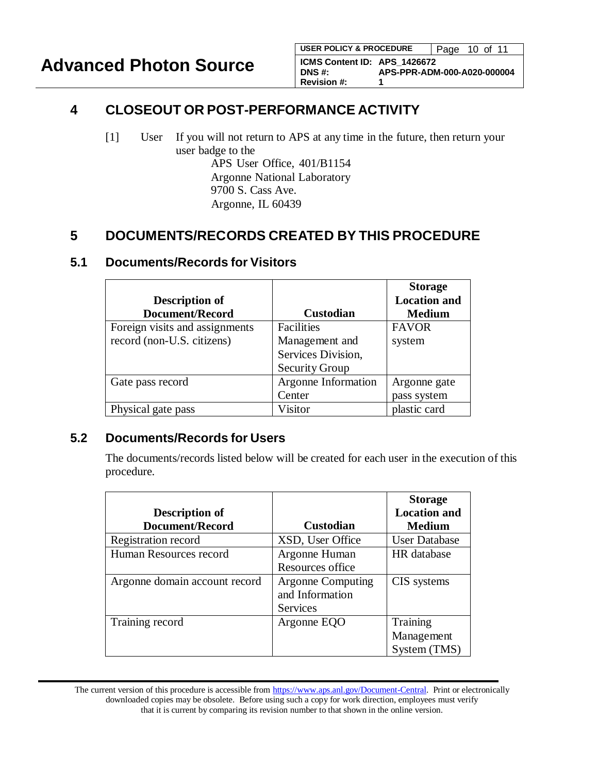## **4 CLOSEOUT OR POST-PERFORMANCE ACTIVITY**

[1] User If you will not return to APS at any time in the future, then return your user badge to the APS User Office, 401/B1154 Argonne National Laboratory 9700 S. Cass Ave. Argonne, IL 60439

## **5 DOCUMENTS/RECORDS CREATED BY THIS PROCEDURE**

| <b>Description of</b><br>Document/Record | <b>Custodian</b>      | <b>Storage</b><br><b>Location and</b><br><b>Medium</b> |
|------------------------------------------|-----------------------|--------------------------------------------------------|
| Foreign visits and assignments           | Facilities            | <b>FAVOR</b>                                           |
| record (non-U.S. citizens)               | Management and        | system                                                 |
|                                          | Services Division,    |                                                        |
|                                          | <b>Security Group</b> |                                                        |
| Gate pass record                         | Argonne Information   | Argonne gate                                           |
|                                          | Center                | pass system                                            |
| Physical gate pass                       | Visitor               | plastic card                                           |

#### **5.1 Documents/Records for Visitors**

#### **5.2 Documents/Records for Users**

The documents/records listed below will be created for each user in the execution of this procedure.

|                               |                          | <b>Storage</b>       |
|-------------------------------|--------------------------|----------------------|
| Description of                |                          | <b>Location and</b>  |
| <b>Document/Record</b>        | <b>Custodian</b>         | <b>Medium</b>        |
| Registration record           | XSD, User Office         | <b>User Database</b> |
| Human Resources record        | Argonne Human            | HR database          |
|                               | Resources office         |                      |
| Argonne domain account record | <b>Argonne Computing</b> | CIS systems          |
|                               | and Information          |                      |
|                               | <b>Services</b>          |                      |
| Training record               | Argonne EQO              | Training             |
|                               |                          | Management           |
|                               |                          | System (TMS)         |